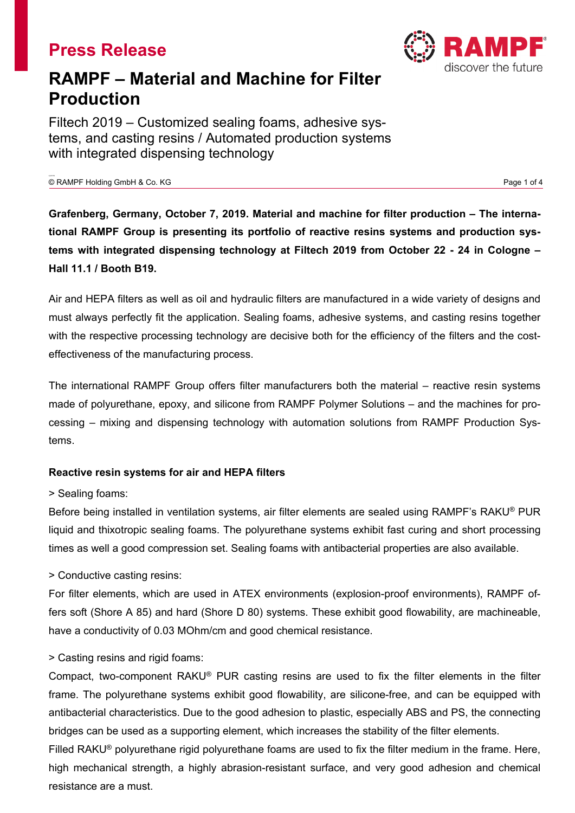

# **RAMPF – Material and Machine for Filter Production**

Filtech 2019 – Customized sealing foams, adhesive systems, and casting resins / Automated production systems with integrated dispensing technology

© RAMPF Holding GmbH & Co. KG Page 1 of 4

**Grafenberg, Germany, October 7, 2019. Material and machine for filter production – The international RAMPF Group is presenting its portfolio of reactive resins systems and production systems with integrated dispensing technology at Filtech 2019 from October 22 - 24 in Cologne – Hall 11.1 / Booth B19.**

Air and HEPA filters as well as oil and hydraulic filters are manufactured in a wide variety of designs and must always perfectly fit the application. Sealing foams, adhesive systems, and casting resins together with the respective processing technology are decisive both for the efficiency of the filters and the costeffectiveness of the manufacturing process.

The international RAMPF Group offers filter manufacturers both the material – reactive resin systems made of polyurethane, epoxy, and silicone from RAMPF Polymer Solutions – and the machines for processing – mixing and dispensing technology with automation solutions from RAMPF Production Systems.

## **Reactive resin systems for air and HEPA filters**

## > Sealing foams:

Before being installed in ventilation systems, air filter elements are sealed using RAMPF's RAKU® PUR liquid and thixotropic sealing foams. The polyurethane systems exhibit fast curing and short processing times as well a good compression set. Sealing foams with antibacterial properties are also available.

## > Conductive casting resins:

For filter elements, which are used in ATEX environments (explosion-proof environments), RAMPF offers soft (Shore A 85) and hard (Shore D 80) systems. These exhibit good flowability, are machineable, have a conductivity of 0.03 MOhm/cm and good chemical resistance.

## > Casting resins and rigid foams:

Compact, two-component RAKU® PUR casting resins are used to fix the filter elements in the filter frame. The polyurethane systems exhibit good flowability, are silicone-free, and can be equipped with antibacterial characteristics. Due to the good adhesion to plastic, especially ABS and PS, the connecting bridges can be used as a supporting element, which increases the stability of the filter elements.

Filled RAKU® polyurethane rigid polyurethane foams are used to fix the filter medium in the frame. Here, high mechanical strength, a highly abrasion-resistant surface, and very good adhesion and chemical resistance are a must.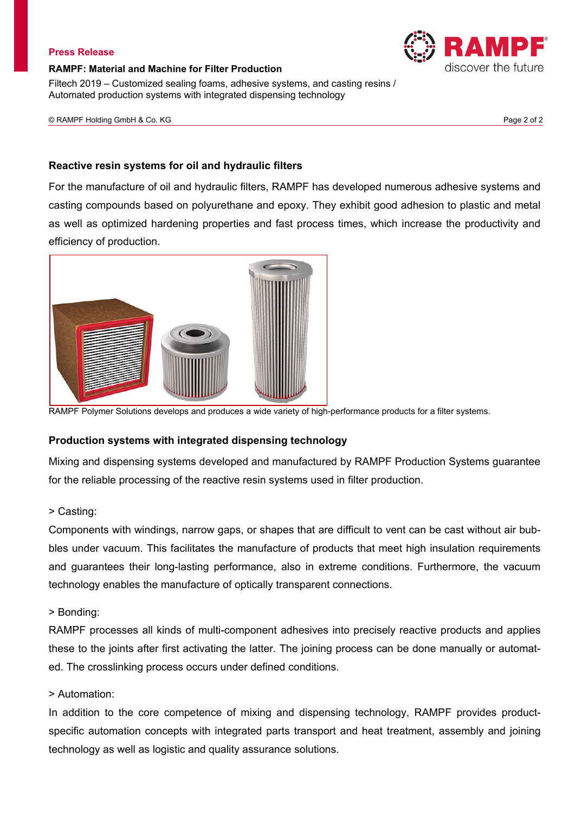#### **RAMPF: Material and Machine for Filter Production**

Filtech 2019 – Customized sealing foams, adhesive systems, and casting resins / Automated production systems with integrated dispensing technology

© RAMPF Holding GmbH & Co. KG Page 2 of 2

#### **Reactive resin systems for oil and hydraulic filters**

For the manufacture of oil and hydraulic filters, RAMPF has developed numerous adhesive systems and casting compounds based on polyurethane and epoxy. They exhibit good adhesion to plastic and metal as well as optimized hardening properties and fast process times, which increase the productivity and efficiency of production.



RAMPF Polymer Solutions develops and produces a wide variety of high-performance products for a filter systems.

## **Production systems with integrated dispensing technology**

Mixing and dispensing systems developed and manufactured by RAMPF Production Systems guarantee for the reliable processing of the reactive resin systems used in filter production.

## > Casting:

Components with windings, narrow gaps, or shapes that are difficult to vent can be cast without air bubbles under vacuum. This facilitates the manufacture of products that meet high insulation requirements and guarantees their long-lasting performance, also in extreme conditions. Furthermore, the vacuum technology enables the manufacture of optically transparent connections.

#### > Bonding:

RAMPF processes all kinds of multi-component adhesives into precisely reactive products and applies these to the joints after first activating the latter. The joining process can be done manually or automated. The crosslinking process occurs under defined conditions.

#### > Automation:

In addition to the core competence of mixing and dispensing technology, RAMPF provides productspecific automation concepts with integrated parts transport and heat treatment, assembly and joining technology as well as logistic and quality assurance solutions.

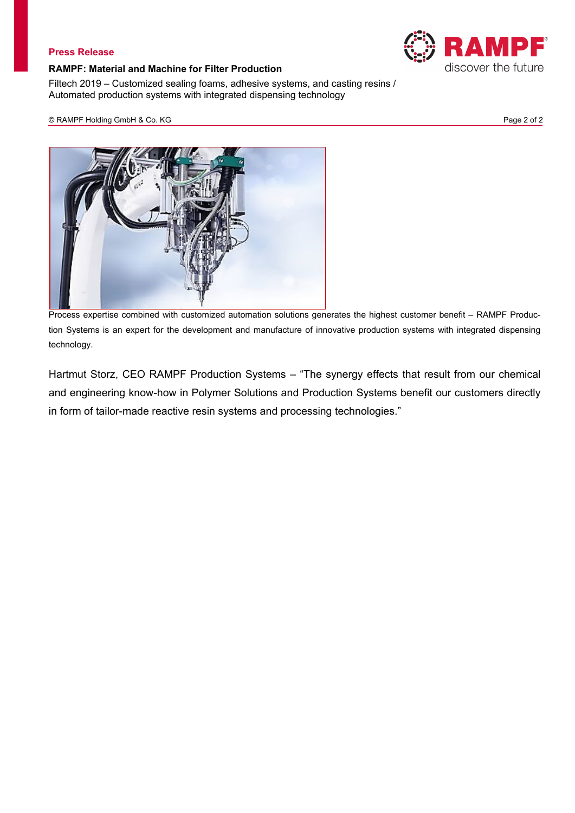#### **RAMPF: Material and Machine for Filter Production**

Filtech 2019 – Customized sealing foams, adhesive systems, and casting resins / Automated production systems with integrated dispensing technology

© RAMPF Holding GmbH & Co. KG Page 2 of 2



Process expertise combined with customized automation solutions generates the highest customer benefit – RAMPF Production Systems is an expert for the development and manufacture of innovative production systems with integrated dispensing technology.

Hartmut Storz, CEO RAMPF Production Systems – "The synergy effects that result from our chemical and engineering know-how in Polymer Solutions and Production Systems benefit our customers directly in form of tailor-made reactive resin systems and processing technologies."